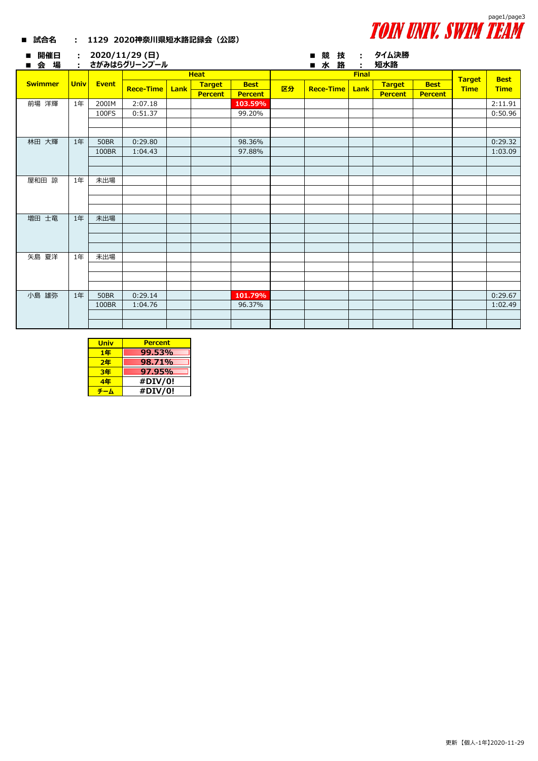

## **■ 試合名 : 1129 2020神奈川県短水路記録会(公認)**

| 開催日<br>п<br>会 場 | ÷           |              | : 2020/11/29 (日)<br>さがみはらグリーンプール |      |                |                |    | 競 技<br>$\blacksquare$<br>■ 水 路 | $\sim 1000$<br>÷ | タイム決勝<br>短水路   |                |                              |                            |
|-----------------|-------------|--------------|----------------------------------|------|----------------|----------------|----|--------------------------------|------------------|----------------|----------------|------------------------------|----------------------------|
| <b>Swimmer</b>  | <b>Univ</b> | <b>Event</b> | <b>Heat</b>                      |      |                |                |    | <b>Final</b>                   |                  |                |                |                              |                            |
|                 |             |              | <b>Rece-Time</b>                 | Lank | <b>Target</b>  | <b>Best</b>    | 区分 | <b>Rece-Time</b>               | Lank             | <b>Target</b>  | <b>Best</b>    | <b>Target</b><br><b>Time</b> | <b>Best</b><br><b>Time</b> |
|                 |             |              |                                  |      | <b>Percent</b> | <b>Percent</b> |    |                                |                  | <b>Percent</b> | <b>Percent</b> |                              |                            |
| 前場 洋輝           | 1年          | 200IM        | 2:07.18                          |      |                | 103.59%        |    |                                |                  |                |                |                              | 2:11.91                    |
|                 |             | 100FS        | 0:51.37                          |      |                | 99.20%         |    |                                |                  |                |                |                              | 0:50.96                    |
|                 |             |              |                                  |      |                |                |    |                                |                  |                |                |                              |                            |
|                 |             |              |                                  |      |                |                |    |                                |                  |                |                |                              |                            |
| 林田 大輝           | 1年          | <b>50BR</b>  | 0:29.80                          |      |                | 98.36%         |    |                                |                  |                |                |                              | 0:29.32                    |
|                 |             | 100BR        | 1:04.43                          |      |                | 97.88%         |    |                                |                  |                |                |                              | 1:03.09                    |
|                 |             |              |                                  |      |                |                |    |                                |                  |                |                |                              |                            |
|                 |             |              |                                  |      |                |                |    |                                |                  |                |                |                              |                            |
| 屋和田 諒           | 1年          | 未出場          |                                  |      |                |                |    |                                |                  |                |                |                              |                            |
|                 |             |              |                                  |      |                |                |    |                                |                  |                |                |                              |                            |
|                 |             |              |                                  |      |                |                |    |                                |                  |                |                |                              |                            |
|                 |             |              |                                  |      |                |                |    |                                |                  |                |                |                              |                            |
| 増田 士竜           | 1年          | 未出場          |                                  |      |                |                |    |                                |                  |                |                |                              |                            |
|                 |             |              |                                  |      |                |                |    |                                |                  |                |                |                              |                            |
|                 |             |              |                                  |      |                |                |    |                                |                  |                |                |                              |                            |
|                 |             |              |                                  |      |                |                |    |                                |                  |                |                |                              |                            |
| 矢島 夏洋           | 1年          | 未出場          |                                  |      |                |                |    |                                |                  |                |                |                              |                            |
|                 |             |              |                                  |      |                |                |    |                                |                  |                |                |                              |                            |
|                 |             |              |                                  |      |                |                |    |                                |                  |                |                |                              |                            |
|                 |             |              |                                  |      |                |                |    |                                |                  |                |                |                              |                            |
| 小島 雄弥           | 1年          | <b>50BR</b>  | 0:29.14                          |      |                | 101.79%        |    |                                |                  |                |                |                              | 0:29.67                    |
|                 |             | 100BR        | 1:04.76                          |      |                | 96.37%         |    |                                |                  |                |                |                              | 1:02.49                    |
|                 |             |              |                                  |      |                |                |    |                                |                  |                |                |                              |                            |
|                 |             |              |                                  |      |                |                |    |                                |                  |                |                |                              |                            |

| <b>Univ</b> | <b>Percent</b> |
|-------------|----------------|
| 1年          | 99.53%         |
| 2年          | 98.71%         |
| 3年          | 97.95%         |
| 4年          | #DIV/0!        |
|             | #DIV/0!        |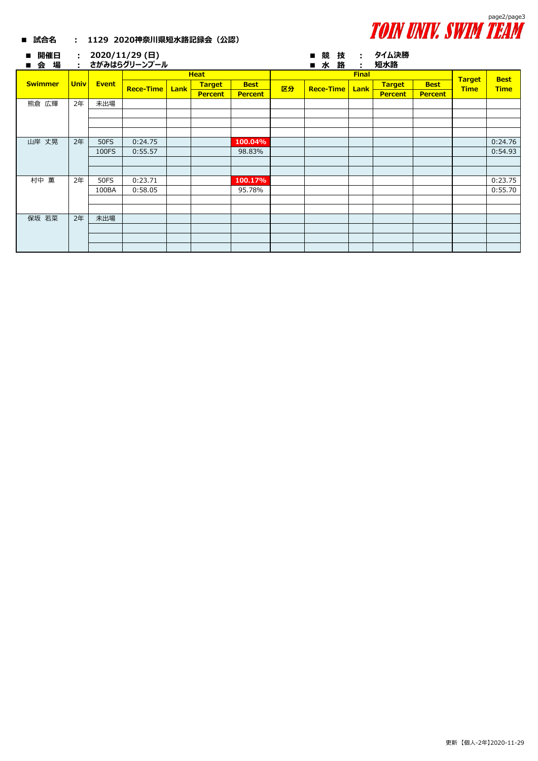

## **■ 試合名 : 1129 2020神奈川県短水路記録会(公認)**

| 開催日<br>$\blacksquare$<br>場<br>会<br>$\blacksquare$ | $\mathcal{L}^{\pm}$ |              | : $2020/11/29$ (日)<br>さがみはらグリーンプール |      |                |                |              | ■水               | ■競技<br>路 | ÷              | : タイム決勝<br>短水路 |             |                              |             |
|---------------------------------------------------|---------------------|--------------|------------------------------------|------|----------------|----------------|--------------|------------------|----------|----------------|----------------|-------------|------------------------------|-------------|
|                                                   | <b>Univ</b>         | <b>Event</b> | <b>Heat</b>                        |      |                |                | <b>Final</b> |                  |          |                |                |             |                              | <b>Best</b> |
| <b>Swimmer</b>                                    |                     |              | <b>Rece-Time</b>                   | Lank | <b>Target</b>  | <b>Best</b>    | 区分           | <b>Rece-Time</b> |          | Lank           | <b>Target</b>  | <b>Best</b> | <b>Target</b><br><b>Time</b> | <b>Time</b> |
|                                                   |                     |              |                                    |      | <b>Percent</b> | <b>Percent</b> |              |                  |          | <b>Percent</b> | <b>Percent</b> |             |                              |             |
| 熊倉 広輝                                             | 2年                  | 未出場          |                                    |      |                |                |              |                  |          |                |                |             |                              |             |
|                                                   |                     |              |                                    |      |                |                |              |                  |          |                |                |             |                              |             |
|                                                   |                     |              |                                    |      |                |                |              |                  |          |                |                |             |                              |             |
|                                                   |                     |              |                                    |      |                |                |              |                  |          |                |                |             |                              |             |
| 山岸 丈晃                                             | 2年                  | <b>50FS</b>  | 0:24.75                            |      |                | 100.04%        |              |                  |          |                |                |             |                              | 0:24.76     |
|                                                   |                     | 100FS        | 0:55.57                            |      |                | 98.83%         |              |                  |          |                |                |             |                              | 0:54.93     |
|                                                   |                     |              |                                    |      |                |                |              |                  |          |                |                |             |                              |             |
|                                                   |                     |              |                                    |      |                |                |              |                  |          |                |                |             |                              |             |
| 村中 薫                                              | 2年                  | <b>50FS</b>  | 0:23.71                            |      |                | 100.17%        |              |                  |          |                |                |             |                              | 0:23.75     |
|                                                   |                     | 100BA        | 0:58.05                            |      |                | 95.78%         |              |                  |          |                |                |             |                              | 0:55.70     |
|                                                   |                     |              |                                    |      |                |                |              |                  |          |                |                |             |                              |             |
|                                                   |                     |              |                                    |      |                |                |              |                  |          |                |                |             |                              |             |
| 保坂 若菜                                             | 2年                  | 未出場          |                                    |      |                |                |              |                  |          |                |                |             |                              |             |
|                                                   |                     |              |                                    |      |                |                |              |                  |          |                |                |             |                              |             |
|                                                   |                     |              |                                    |      |                |                |              |                  |          |                |                |             |                              |             |
|                                                   |                     |              |                                    |      |                |                |              |                  |          |                |                |             |                              |             |